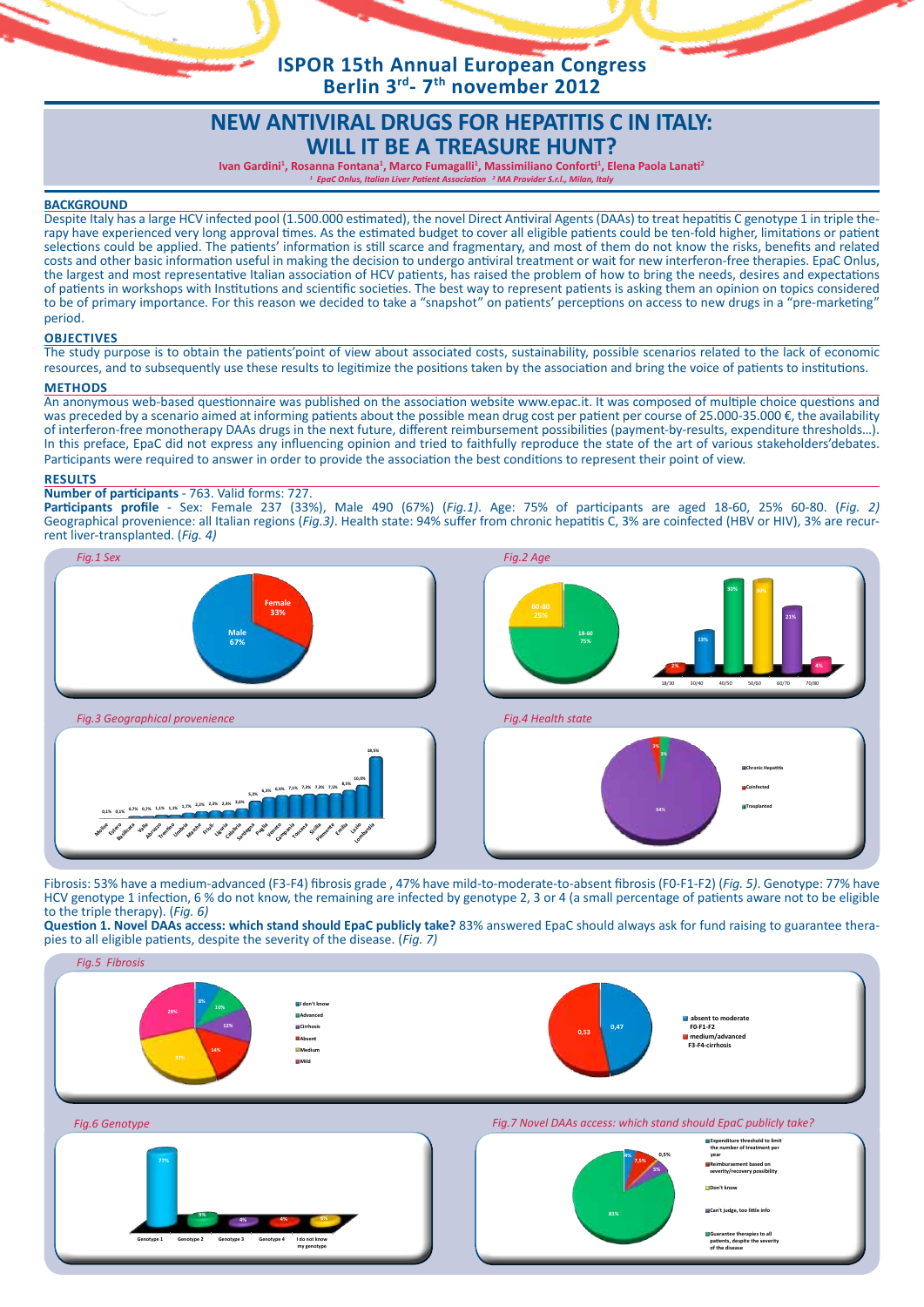**ISPOR 15th Annual European Congress Berlin 3rd- 7th november 2012**

# **NEW ANTIVIRAL DRUGS FOR HEPATITIS C IN ITALY: WILL IT BE A TREASURE HUNT?**

Ivan Gardini<sup>1</sup>, Rosanna Fontana<sup>1</sup>, Marco Fumagalli<sup>1</sup>, Massimiliano Conforti<sup>1</sup>, Elena Paola Lanati<sup>2</sup> *1 EpaC Onlus, Italian Liver Patient Association <sup>2</sup> MA Provider S.r.l., Milan, Italy*

**BACKGROUND**<br>Despite Italy has a large HCV infected pool (1.500.000 estimated), the novel Direct Antiviral Agents (DAAs) to treat hepatitis C genotype 1 in triple therapy have experienced very long approval times. As the estimated budget to cover all eligible patients could be ten-fold higher, limitations or patient selections could be applied. The patients' information is still scarce and fragmentary, and most of them do not know the risks, benefits and related costs and other basic information useful in making the decision to undergo antiviral treatment or wait for new interferon-free therapies. EpaC Onlus, the largest and most representative Italian association of HCV patients, has raised the problem of how to bring the needs, desires and expectations of patients in workshops with Institutions and scientific societies. The best way to represent patients is asking them an opinion on topics considered to be of primary importance. For this reason we decided to take a "snapshot" on patients' perceptions on access to new drugs in a "pre-marketing" period.

### **Objectives**

The study purpose is to obtain the patients'point of view about associated costs, sustainability, possible scenarios related to the lack of economic resources, and to subsequently use these results to legitimize the positions taken by the association and bring the voice of patients to institutions.

## **Methods**

An anonymous web-based questionnaire was published on the association website www.epac.it. It was composed of multiple choice questions and was preceded by a scenario aimed at informing patients about the possible mean drug cost per patient per course of 25.000-35.000 €, the availability of interferon-free monotherapy DAAs drugs in the next future, different reimbursement possibilities (payment-by-results, expenditure thresholds…). In this preface, EpaC did not express any influencing opinion and tried to faithfully reproduce the state of the art of various stakeholders'debates. Participants were required to answer in order to provide the association the best conditions to represent their point of view.

#### **Results**

### **Number of participants** - 763. Valid forms: 727.

**Participants profile** - Sex: Female 237 (33%), Male 490 (67%) (*Fig.1)*. Age: 75% of participants are aged 18-60, 25% 60-80. (*Fig. 2)* Geographical provenience: all Italian regions (*Fig.3*). Health state: 94% suffer from chronic hepatitis C, 3% are coinfected (HBV or HIV), 3% are recur-<br>rent liver-transplanted. (*Fig. 4*)



Fibrosis: 53% have a medium-advanced (F3-F4) fibrosis grade , 47% have mild-to-moderate-to-absent fibrosis (F0-F1-F2) (*Fig. 5)*. Genotype: 77% have HCV genotype 1 infection, 6 % do not know, the remaining are infected by genotype 2, 3 or 4 (a small percentage of patients aware not to be eligible to the triple therapy). (*Fig. 6)*

**Question 1. Novel DAAs access: which stand should EpaC publicly take?** 83% answered EpaC should always ask for fund raising to guarantee therapies to all eligible patients, despite the severity of the disease. (*Fig. 7)*